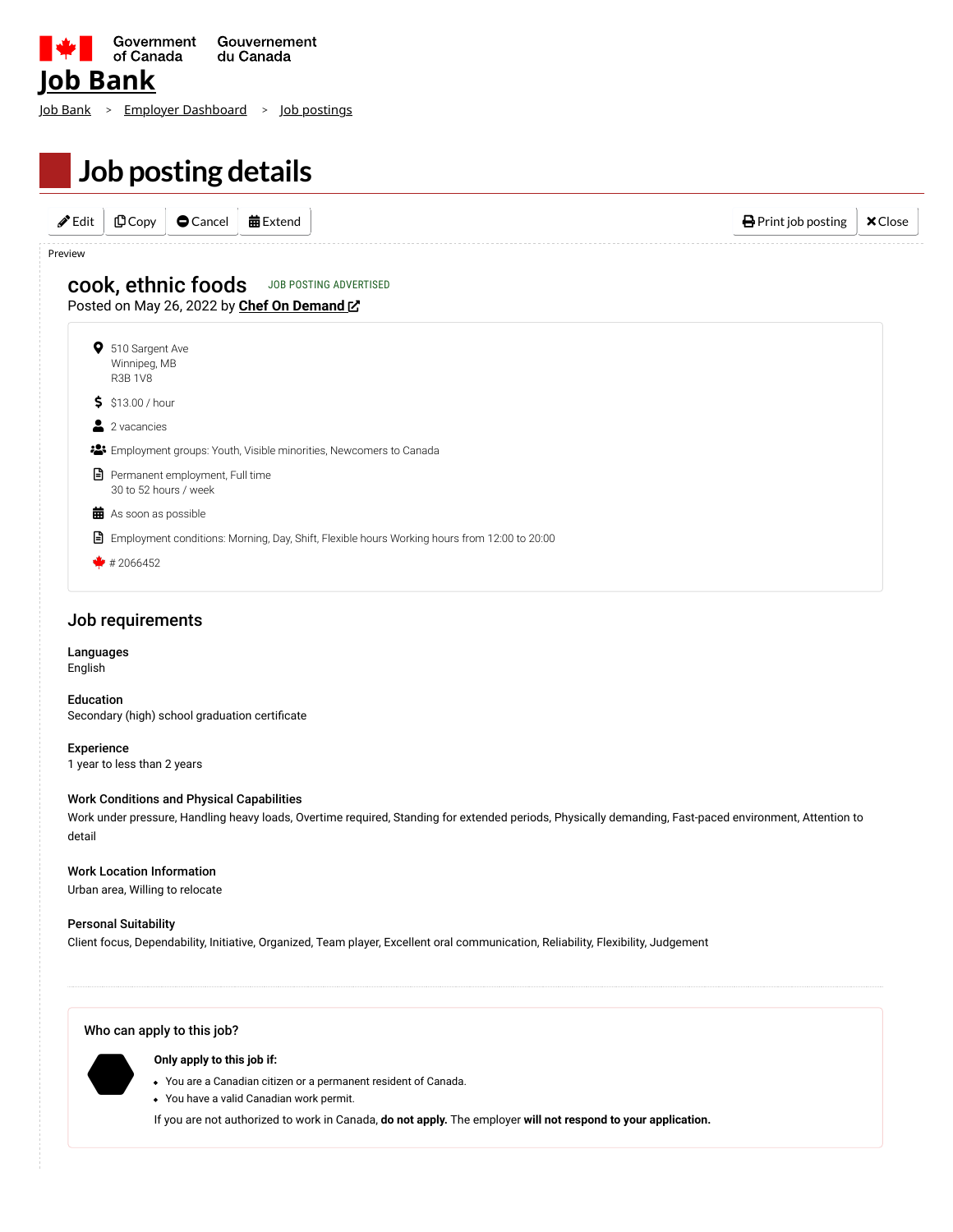| <u>lob Bank</u> | ■ Sovernment Gouvernement Gouvernement Souvernement Souvernement Souvernement Souvernement Souvernement Souvernement Souvernement Souvernement Souvernement Souvernement Souvernement Souvernement Souvernement Souvernement | Gouvernement |  |
|-----------------|------------------------------------------------------------------------------------------------------------------------------------------------------------------------------------------------------------------------------|--------------|--|
|                 | <u> ob Bank &gt; Employer Dashboard &gt; Job postings</u>                                                                                                                                                                    |              |  |
|                 | Job posting details                                                                                                                                                                                                          |              |  |

| $\bigoplus$ Print job posting | <b>曲</b> Extend | $\bullet$ Cancel | 凸Copy | $\mathscr{I}$ Edit |
|-------------------------------|-----------------|------------------|-------|--------------------|
|                               |                 |                  |       |                    |

# Posted on May 26, 2022 by **[Chef On Demand](https://www.chefondemand.club/)** & cook, ethnic foods JOB POSTING ADVERTISED



 $*$  # 2066452

### Job requirements

#### Languages English

Education Secondary (high) school graduation certificate

Experience 1 year to less than 2 years

Work Conditions and Physical Capabilities

Work under pressure, Handling heavy loads, Overtime required, Standing for extended periods, Physically demanding, Fast-paced environment, Attention to detail

#### Work Location Information

Urban area, Willing to relocate

#### Personal Suitability

Client focus, Dependability, Initiative, Organized, Team player, Excellent oral communication, Reliability, Flexibility, Judgement

#### Who can apply to this job?

**Only apply to this job if:**  $\bullet$ 

- You are a Canadian citizen or a permanent resident of Canada.
- You have a valid Canadian work permit.

If you are not authorized to work in Canada, **do not apply.** The employer **will not respond to your application.**